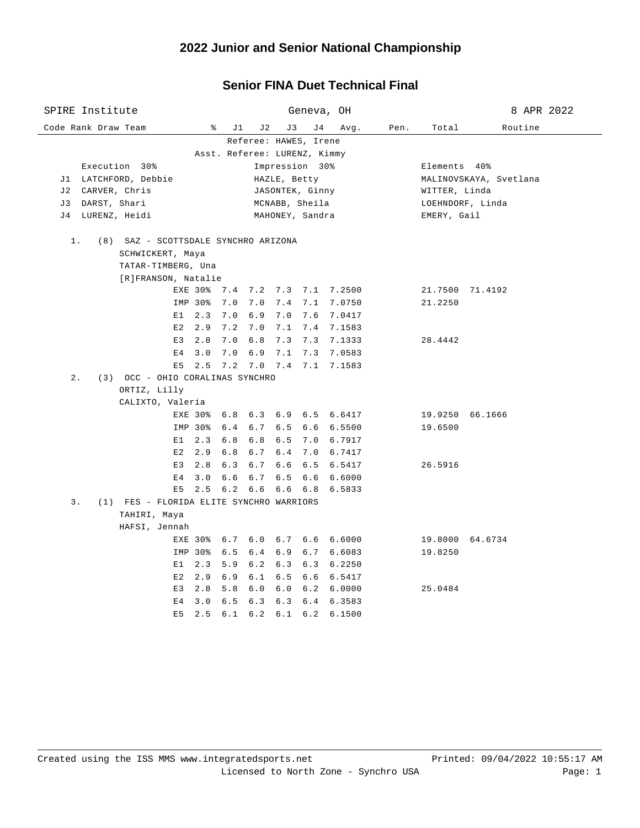### **Senior FINA Duet Technical Final**

| SPIRE Institute                               | Geneva, OH                                                         | 8 APR 2022             |  |  |  |  |  |  |
|-----------------------------------------------|--------------------------------------------------------------------|------------------------|--|--|--|--|--|--|
| Code Rank Draw Team                           | ိ<br>J 1<br>J 2<br>J 3<br>J 4<br>Avg.<br>Pen.                      | Routine<br>Total       |  |  |  |  |  |  |
|                                               | Referee: HAWES, Irene                                              |                        |  |  |  |  |  |  |
| Asst. Referee: LURENZ, Kimmy                  |                                                                    |                        |  |  |  |  |  |  |
| Execution 30%                                 | Impression 30%                                                     | Elements 40%           |  |  |  |  |  |  |
| J1 LATCHFORD, Debbie                          | HAZLE, Betty                                                       | MALINOVSKAYA, Svetlana |  |  |  |  |  |  |
| J2 CARVER, Chris                              | JASONTEK, Ginny                                                    | WITTER, Linda          |  |  |  |  |  |  |
| J3 DARST, Shari                               | MCNABB, Sheila                                                     | LOEHNDORF, Linda       |  |  |  |  |  |  |
| J4 LURENZ, Heidi                              | MAHONEY, Sandra                                                    | EMERY, Gail            |  |  |  |  |  |  |
| $1$ .<br>(8) SAZ - SCOTTSDALE SYNCHRO ARIZONA |                                                                    |                        |  |  |  |  |  |  |
| SCHWICKERT, Maya                              |                                                                    |                        |  |  |  |  |  |  |
| TATAR-TIMBERG, Una                            |                                                                    |                        |  |  |  |  |  |  |
| [R]FRANSON, Natalie                           |                                                                    |                        |  |  |  |  |  |  |
|                                               | EXE 30% 7.4 7.2 7.3 7.1 7.2500                                     | 21.7500 71.4192        |  |  |  |  |  |  |
| IMP 30%                                       | 7.0<br>7.0<br>7.4 7.1 7.0750                                       | 21.2250                |  |  |  |  |  |  |
| $E1 \quad 2.3$                                | 6.9 7.0 7.6 7.0417<br>7.0                                          |                        |  |  |  |  |  |  |
| $E2 \quad 2.9$                                | 7.0<br>7.1 7.4 7.1583<br>7.2                                       |                        |  |  |  |  |  |  |
| E3 2.8                                        | 6.8 7.3 7.3 7.1333<br>7.0                                          | 28.4442                |  |  |  |  |  |  |
| E4 3.0                                        | 7.0 6.9 7.1 7.3 7.0583                                             |                        |  |  |  |  |  |  |
| 2.5<br>E5                                     | 7.2 7.0 7.4 7.1 7.1583                                             |                        |  |  |  |  |  |  |
| $2$ .<br>(3) OCC - OHIO CORALINAS SYNCHRO     |                                                                    |                        |  |  |  |  |  |  |
| ORTIZ, Lilly                                  |                                                                    |                        |  |  |  |  |  |  |
| CALIXTO, Valeria                              |                                                                    |                        |  |  |  |  |  |  |
|                                               | EXE 30% 6.8 6.3 6.9 6.5 6.6417                                     | 19.9250 66.1666        |  |  |  |  |  |  |
| IMP 30%                                       | 6.4 6.7<br>$6.5$ $6.6$ $6.5500$                                    | 19.6500                |  |  |  |  |  |  |
| $E1 \quad 2.3$                                | 6.8<br>6.8<br>6.5 7.0 6.7917                                       |                        |  |  |  |  |  |  |
| E2<br>2.9                                     | 6.8<br>6.7<br>6.4 7.0 6.7417                                       |                        |  |  |  |  |  |  |
| $E3$ 2.8                                      | 6.7<br>$6.6$ $6.5$ $6.5417$<br>6.3                                 | 26.5916                |  |  |  |  |  |  |
| 3.0<br>E4                                     | 6.6<br>6.7<br>$6.5$ $6.6$ $6.6000$                                 |                        |  |  |  |  |  |  |
| E5                                            | 2.5 6.2 6.6 6.6 6.8 6.5833                                         |                        |  |  |  |  |  |  |
| $3$ .                                         | (1) FES - FLORIDA ELITE SYNCHRO WARRIORS                           |                        |  |  |  |  |  |  |
| TAHIRI, Maya                                  |                                                                    |                        |  |  |  |  |  |  |
| HAFSI, Jennah                                 |                                                                    |                        |  |  |  |  |  |  |
|                                               | EXE 30% 6.7 6.0 6.7 6.6 6.6000                                     | 19.8000 64.6734        |  |  |  |  |  |  |
| IMP 30%                                       | 6.5 6.4 6.9 6.7 6.6083                                             | 19.8250                |  |  |  |  |  |  |
| 2.3<br>E1                                     | $6.3$ $6.3$ $6.2250$<br>5.9<br>6.2                                 |                        |  |  |  |  |  |  |
| E2<br>2.9<br>2.8<br>E3                        | 6.9<br>6.1<br>6.5 6.6 6.5417<br>5.8<br>6.0<br>$6.0$ $6.2$ $6.0000$ | 25.0484                |  |  |  |  |  |  |
| E <sub>4</sub><br>3.0                         | 6.3<br>$6.3$ $6.4$ $6.3583$<br>6.5                                 |                        |  |  |  |  |  |  |
| E5<br>2.5                                     | $6.1$ $6.2$ $6.1$ $6.2$ $6.1500$                                   |                        |  |  |  |  |  |  |
|                                               |                                                                    |                        |  |  |  |  |  |  |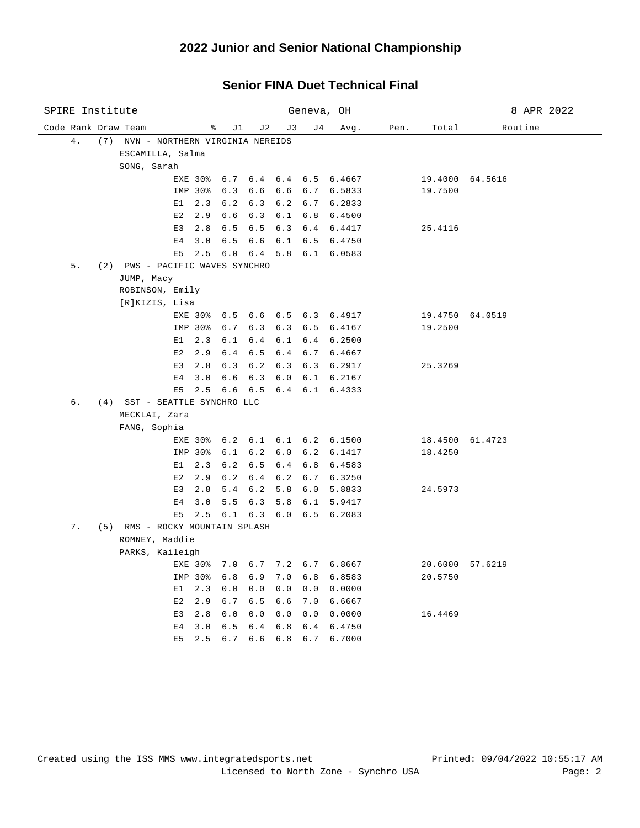# **2022 Junior and Senior National Championship**

#### **Senior FINA Duet Technical Final**

| SPIRE Institute     |                                     |                |            |                |             | Geneva, OH      |                                        |      |                 | 8 APR 2022      |
|---------------------|-------------------------------------|----------------|------------|----------------|-------------|-----------------|----------------------------------------|------|-----------------|-----------------|
| Code Rank Draw Team |                                     | ႜ              | J 1        | J2             | J3          | J 4             | Avg.                                   | Pen. | Total           | Routine         |
| 4.                  | (7) NVN - NORTHERN VIRGINIA NEREIDS |                |            |                |             |                 |                                        |      |                 |                 |
|                     | ESCAMILLA, Salma                    |                |            |                |             |                 |                                        |      |                 |                 |
|                     | SONG, Sarah                         |                |            |                |             |                 |                                        |      |                 |                 |
|                     |                                     | <b>EXE 30%</b> | 6.7        |                |             |                 | $6.4$ $6.4$ $6.5$ $6.4667$             |      | 19.4000 64.5616 |                 |
|                     |                                     | IMP 30%        | 6.3        | 6.6            |             |                 | 6.6 6.7 6.5833                         |      | 19.7500         |                 |
|                     | E1                                  | 2.3            | 6.2        | 6.3            |             | $6.2 \quad 6.7$ | 6.2833                                 |      |                 |                 |
|                     | E2                                  | 2.9            | 6.6        | 6.3            |             |                 | 6.1 6.8 6.4500                         |      |                 |                 |
|                     | E3                                  | 2.8            | 6.5        | 6.5            |             |                 | 6.3 6.4 6.4417                         |      | 25.4116         |                 |
|                     | Ε4                                  | 3.0            | 6.5        | 6.6            |             |                 | 6.1 6.5 6.4750                         |      |                 |                 |
|                     | E5                                  | 2.5            | 6.0        | 6.4            |             | $5.8 \t 6.1$    | 6.0583                                 |      |                 |                 |
| 5.                  | (2) PWS - PACIFIC WAVES SYNCHRO     |                |            |                |             |                 |                                        |      |                 |                 |
|                     | JUMP, Macy                          |                |            |                |             |                 |                                        |      |                 |                 |
|                     | ROBINSON, Emily                     |                |            |                |             |                 |                                        |      |                 |                 |
|                     | [R]KIZIS, Lisa                      |                |            |                |             |                 |                                        |      |                 |                 |
|                     |                                     |                |            |                |             |                 | EXE 30% 6.5 6.6 6.5 6.3 6.4917         |      | 19.4750 64.0519 |                 |
|                     |                                     | IMP 30%        | 6.7        |                |             |                 | 6.3 6.3 6.5 6.4167                     |      | 19.2500         |                 |
|                     | E1                                  | 2.3            | 6.1        | 6.4            | 6.1         |                 | 6.4 6.2500                             |      |                 |                 |
|                     | E2                                  | 2.9            | 6.4        | 6.5            |             |                 | 6.4 6.7 6.4667                         |      |                 |                 |
|                     | E3                                  | 2.8            | 6.3        | 6.2            |             |                 | 6.3 6.3 6.2917                         |      | 25.3269         |                 |
|                     | E4                                  | 3.0            | 6.6        | 6.3            |             |                 | $6.0$ $6.1$ $6.2167$                   |      |                 |                 |
|                     | E5                                  | 2.5            | 6.6        | 6.5            |             |                 | $6.4$ $6.1$ $6.4333$                   |      |                 |                 |
| б.                  | (4) SST - SEATTLE SYNCHRO LLC       |                |            |                |             |                 |                                        |      |                 |                 |
|                     | MECKLAI, Zara                       |                |            |                |             |                 |                                        |      |                 |                 |
|                     | FANG, Sophia                        |                |            |                |             |                 |                                        |      |                 |                 |
|                     |                                     |                |            |                |             |                 | EXE 30% 6.2 6.1 6.1 6.2 6.1500         |      | 18.4500 61.4723 |                 |
|                     |                                     | IMP 30%        | 6.1        | 6.2            |             |                 | $6.0 \t 6.2 \t 6.1417$                 |      | 18.4250         |                 |
|                     | E1                                  | 2.3            | 6.2        | 6.5            |             |                 | 6.4 6.8 6.4583                         |      |                 |                 |
|                     | E2<br>E3                            | 2.9<br>2.8     | 6.2<br>5.4 | $6.4\,$<br>6.2 |             |                 | $6.2$ $6.7$ $6.3250$<br>5.8 6.0 5.8833 |      | 24.5973         |                 |
|                     | Ε4                                  | 3.0            | 5.5        | 6.3            |             |                 | 5.8 6.1 5.9417                         |      |                 |                 |
|                     | E5                                  |                |            |                |             |                 | 2.5 6.1 6.3 6.0 6.5 6.2083             |      |                 |                 |
| 7.                  | (5) RMS - ROCKY MOUNTAIN SPLASH     |                |            |                |             |                 |                                        |      |                 |                 |
|                     | ROMNEY, Maddie                      |                |            |                |             |                 |                                        |      |                 |                 |
|                     | PARKS, Kaileigh                     |                |            |                |             |                 |                                        |      |                 |                 |
|                     |                                     | EXE 30%        | 7.0        |                |             |                 | 6.7 7.2 6.7 6.8667                     |      |                 | 20.6000 57.6219 |
|                     | IMP 30%                             |                | 6.8        | 6.9            |             |                 | 7.0 6.8 6.8583                         |      | 20.5750         |                 |
|                     | E1                                  | 2.3            | 0.0        | 0.0            |             |                 | $0.0 \t 0.0 \t 0.0000$                 |      |                 |                 |
|                     | E2                                  | 2.9            | 6.7        | 6.5            | 6.6         |                 | 7.0 6.6667                             |      |                 |                 |
|                     | E3                                  | 2.8            | 0.0        | 0.0            | 0.0         | 0.0             | 0.0000                                 |      | 16.4469         |                 |
|                     | E <sub>4</sub>                      | 3.0            | 6.5        | 6.4            |             |                 | 6.8 6.4 6.4750                         |      |                 |                 |
|                     | E <sub>5</sub>                      | 2.5            | 6.7        | 6.6            | $6.8 \t6.7$ |                 | 6.7000                                 |      |                 |                 |
|                     |                                     |                |            |                |             |                 |                                        |      |                 |                 |